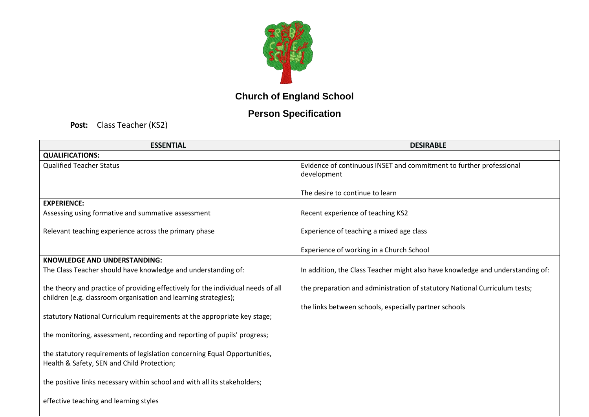

## **Church of England School**

## **Person Specification**

**Post:** Class Teacher (KS2)

| <b>ESSENTIAL</b>                                                                                                                                    | <b>DESIRABLE</b>                                                                   |
|-----------------------------------------------------------------------------------------------------------------------------------------------------|------------------------------------------------------------------------------------|
| <b>QUALIFICATIONS:</b>                                                                                                                              |                                                                                    |
| <b>Qualified Teacher Status</b>                                                                                                                     | Evidence of continuous INSET and commitment to further professional<br>development |
|                                                                                                                                                     | The desire to continue to learn                                                    |
| <b>EXPERIENCE:</b>                                                                                                                                  |                                                                                    |
| Assessing using formative and summative assessment                                                                                                  | Recent experience of teaching KS2                                                  |
| Relevant teaching experience across the primary phase                                                                                               | Experience of teaching a mixed age class                                           |
|                                                                                                                                                     | Experience of working in a Church School                                           |
| <b>KNOWLEDGE AND UNDERSTANDING:</b>                                                                                                                 |                                                                                    |
| The Class Teacher should have knowledge and understanding of:                                                                                       | In addition, the Class Teacher might also have knowledge and understanding of:     |
| the theory and practice of providing effectively for the individual needs of all<br>children (e.g. classroom organisation and learning strategies); | the preparation and administration of statutory National Curriculum tests;         |
|                                                                                                                                                     | the links between schools, especially partner schools                              |
| statutory National Curriculum requirements at the appropriate key stage;                                                                            |                                                                                    |
| the monitoring, assessment, recording and reporting of pupils' progress;                                                                            |                                                                                    |
| the statutory requirements of legislation concerning Equal Opportunities,<br>Health & Safety, SEN and Child Protection;                             |                                                                                    |
| the positive links necessary within school and with all its stakeholders;                                                                           |                                                                                    |
| effective teaching and learning styles                                                                                                              |                                                                                    |